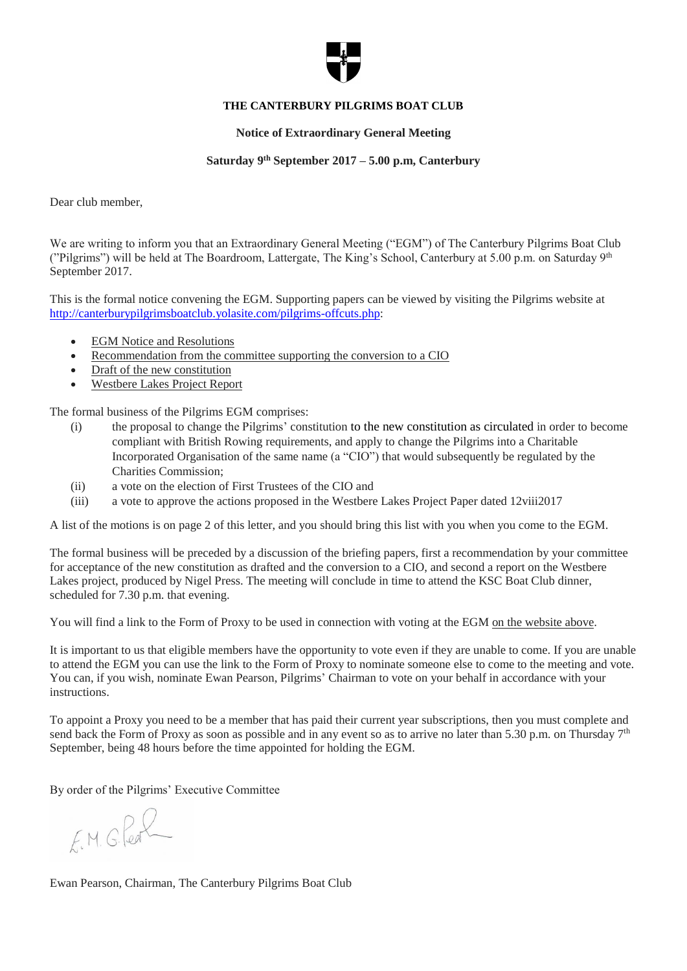

### **THE CANTERBURY PILGRIMS BOAT CLUB**

#### **Notice of Extraordinary General Meeting**

#### **Saturday 9th September 2017 – 5.00 p.m, Canterbury**

Dear club member,

We are writing to inform you that an Extraordinary General Meeting ("EGM") of The Canterbury Pilgrims Boat Club ("Pilgrims") will be held at The Boardroom, Lattergate, The King's School, Canterbury at 5.00 p.m. on Saturday 9<sup>th</sup> September 2017.

This is the formal notice convening the EGM. Supporting papers can be viewed by visiting the Pilgrims website at [http://canterburypilgrimsboatclub.yolasite.com/pilgrims-offcuts.php:](http://canterburypilgrimsboatclub.yolasite.com/pilgrims-offcuts.php)

- EGM Notice and Resolutions
- Recommendation from the committee supporting the conversion to a CIO
- Draft of the new constitution
- Westbere Lakes Project Report

The formal business of the Pilgrims EGM comprises:

- (i) the proposal to change the Pilgrims' constitution to the new constitution as circulated in order to become compliant with British Rowing requirements, and apply to change the Pilgrims into a Charitable Incorporated Organisation of the same name (a "CIO") that would subsequently be regulated by the Charities Commission;
- (ii) a vote on the election of First Trustees of the CIO and
- (iii) a vote to approve the actions proposed in the Westbere Lakes Project Paper dated 12viii2017

A list of the motions is on page 2 of this letter, and you should bring this list with you when you come to the EGM.

The formal business will be preceded by a discussion of the briefing papers, first a recommendation by your committee for acceptance of the new constitution as drafted and the conversion to a CIO, and second a report on the Westbere Lakes project, produced by Nigel Press. The meeting will conclude in time to attend the KSC Boat Club dinner, scheduled for 7.30 p.m. that evening.

You will find a link to the Form of Proxy to be used in connection with voting at the EGM on the website above.

It is important to us that eligible members have the opportunity to vote even if they are unable to come. If you are unable to attend the EGM you can use the link to the Form of Proxy to nominate someone else to come to the meeting and vote. You can, if you wish, nominate Ewan Pearson, Pilgrims' Chairman to vote on your behalf in accordance with your instructions.

To appoint a Proxy you need to be a member that has paid their current year subscriptions, then you must complete and send back the Form of Proxy as soon as possible and in any event so as to arrive no later than 5.30 p.m. on Thursday  $7<sup>th</sup>$ September, being 48 hours before the time appointed for holding the EGM.

By order of the Pilgrims' Executive Committee

 $FM. G. ReR$ 

Ewan Pearson, Chairman, The Canterbury Pilgrims Boat Club